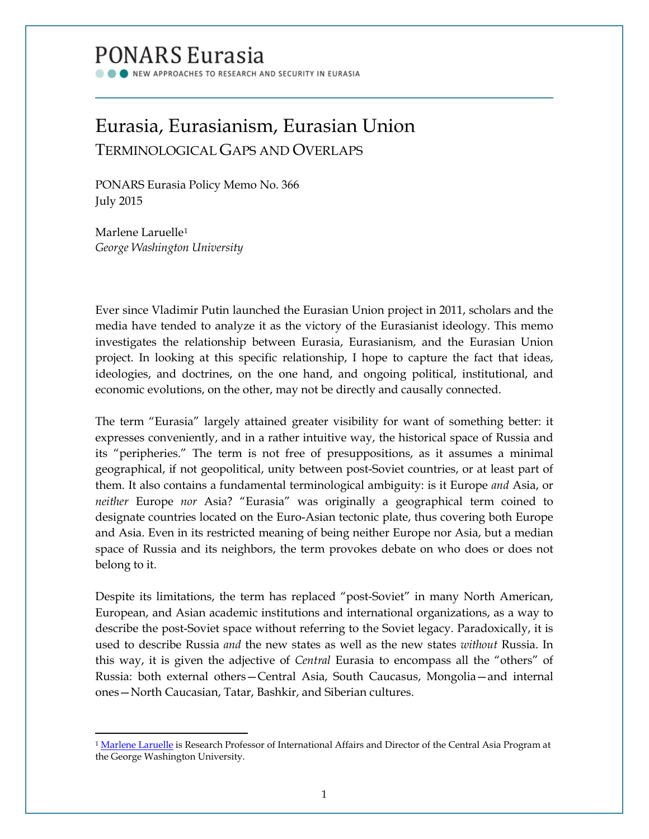# **PONARS Eurasia**

NEW APPROACHES TO RESEARCH AND SECURITY IN EURASIA

# Eurasia, Eurasianism, Eurasian Union TERMINOLOGICAL GAPS AND OVERLAPS

PONARS Eurasia Policy Memo No. 366 July 2015

Marlene Laruelle[1](#page-0-0) *George Washington University*

l

Ever since Vladimir Putin launched the Eurasian Union project in 2011, scholars and the media have tended to analyze it as the victory of the Eurasianist ideology. This memo investigates the relationship between Eurasia, Eurasianism, and the Eurasian Union project. In looking at this specific relationship, I hope to capture the fact that ideas, ideologies, and doctrines, on the one hand, and ongoing political, institutional, and economic evolutions, on the other, may not be directly and causally connected.

The term "Eurasia" largely attained greater visibility for want of something better: it expresses conveniently, and in a rather intuitive way, the historical space of Russia and its "peripheries." The term is not free of presuppositions, as it assumes a minimal geographical, if not geopolitical, unity between post-Soviet countries, or at least part of them. It also contains a fundamental terminological ambiguity: is it Europe *and* Asia, or *neither* Europe *nor* Asia? "Eurasia" was originally a geographical term coined to designate countries located on the Euro-Asian tectonic plate, thus covering both Europe and Asia. Even in its restricted meaning of being neither Europe nor Asia, but a median space of Russia and its neighbors, the term provokes debate on who does or does not belong to it.

Despite its limitations, the term has replaced "post-Soviet" in many North American, European, and Asian academic institutions and international organizations, as a way to describe the post-Soviet space without referring to the Soviet legacy. Paradoxically, it is used to describe Russia *and* the new states as well as the new states *without* Russia. In this way, it is given the adjective of *Central* Eurasia to encompass all the "others" of Russia: both external others—Central Asia, South Caucasus, Mongolia—and internal ones—North Caucasian, Tatar, Bashkir, and Siberian cultures.

<span id="page-0-0"></span><sup>&</sup>lt;sup>1</sup> [Marlene Laruelle](http://www.ponarseurasia.org/members/marlene-laruelle) is Research Professor of International Affairs and Director of the Central Asia Program at the George Washington University.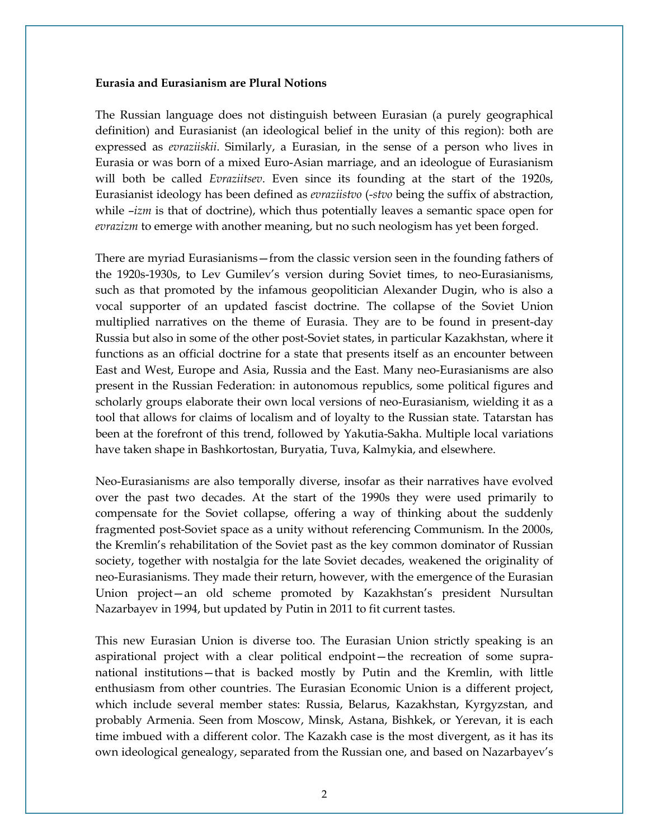#### **Eurasia and Eurasianism are Plural Notions**

The Russian language does not distinguish between Eurasian (a purely geographical definition) and Eurasianist (an ideological belief in the unity of this region): both are expressed as *evraziiskii*. Similarly, a Eurasian, in the sense of a person who lives in Eurasia or was born of a mixed Euro-Asian marriage, and an ideologue of Eurasianism will both be called *Evraziitsev*. Even since its founding at the start of the 1920s, Eurasianist ideology has been defined as *evraziistvo* (-*stvo* being the suffix of abstraction, while –*izm* is that of doctrine), which thus potentially leaves a semantic space open for *evrazizm* to emerge with another meaning, but no such neologism has yet been forged.

There are myriad Eurasianisms—from the classic version seen in the founding fathers of the 1920s-1930s, to Lev Gumilev's version during Soviet times, to neo-Eurasianisms, such as that promoted by the infamous geopolitician Alexander Dugin, who is also a vocal supporter of an updated fascist doctrine. The collapse of the Soviet Union multiplied narratives on the theme of Eurasia. They are to be found in present-day Russia but also in some of the other post-Soviet states, in particular Kazakhstan, where it functions as an official doctrine for a state that presents itself as an encounter between East and West, Europe and Asia, Russia and the East. Many neo-Eurasianisms are also present in the Russian Federation: in autonomous republics, some political figures and scholarly groups elaborate their own local versions of neo-Eurasianism, wielding it as a tool that allows for claims of localism and of loyalty to the Russian state. Tatarstan has been at the forefront of this trend, followed by Yakutia-Sakha. Multiple local variations have taken shape in Bashkortostan, Buryatia, Tuva, Kalmykia, and elsewhere.

Neo-Eurasianism*s* are also temporally diverse, insofar as their narratives have evolved over the past two decades. At the start of the 1990s they were used primarily to compensate for the Soviet collapse, offering a way of thinking about the suddenly fragmented post-Soviet space as a unity without referencing Communism. In the 2000s, the Kremlin's rehabilitation of the Soviet past as the key common dominator of Russian society, together with nostalgia for the late Soviet decades, weakened the originality of neo-Eurasianisms. They made their return, however, with the emergence of the Eurasian Union project—an old scheme promoted by Kazakhstan's president Nursultan Nazarbayev in 1994, but updated by Putin in 2011 to fit current tastes.

This new Eurasian Union is diverse too. The Eurasian Union strictly speaking is an aspirational project with a clear political endpoint—the recreation of some supranational institutions—that is backed mostly by Putin and the Kremlin, with little enthusiasm from other countries. The Eurasian Economic Union is a different project, which include several member states: Russia, Belarus, Kazakhstan, Kyrgyzstan, and probably Armenia. Seen from Moscow, Minsk, Astana, Bishkek, or Yerevan, it is each time imbued with a different color. The Kazakh case is the most divergent, as it has its own ideological genealogy, separated from the Russian one, and based on Nazarbayev's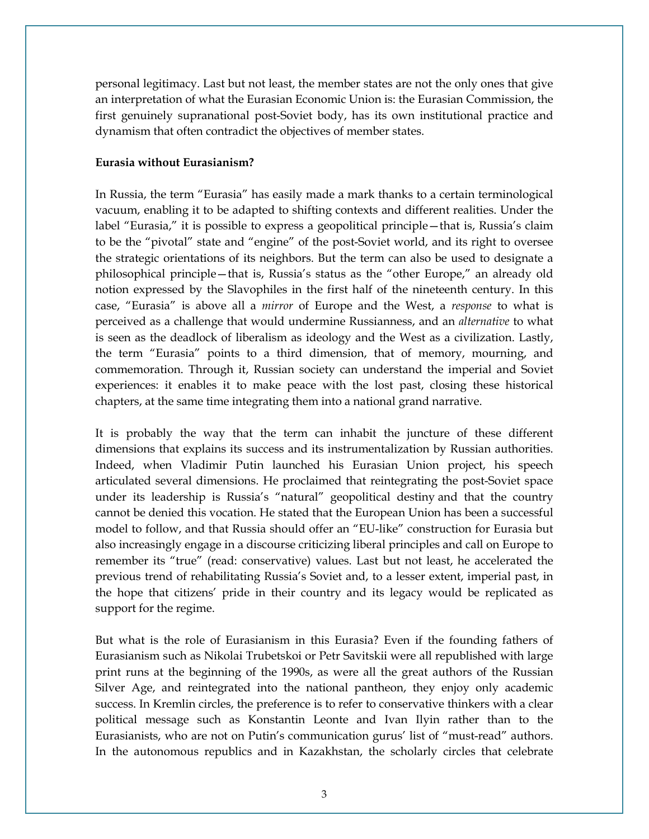personal legitimacy. Last but not least, the member states are not the only ones that give an interpretation of what the Eurasian Economic Union is: the Eurasian Commission, the first genuinely supranational post-Soviet body, has its own institutional practice and dynamism that often contradict the objectives of member states.

## **Eurasia without Eurasianism?**

In Russia, the term "Eurasia" has easily made a mark thanks to a certain terminological vacuum, enabling it to be adapted to shifting contexts and different realities. Under the label "Eurasia," it is possible to express a geopolitical principle—that is, Russia's claim to be the "pivotal" state and "engine" of the post-Soviet world, and its right to oversee the strategic orientations of its neighbors. But the term can also be used to designate a philosophical principle—that is, Russia's status as the "other Europe," an already old notion expressed by the Slavophiles in the first half of the nineteenth century. In this case, "Eurasia" is above all a *mirror* of Europe and the West, a *response* to what is perceived as a challenge that would undermine Russianness, and an *alternative* to what is seen as the deadlock of liberalism as ideology and the West as a civilization. Lastly, the term "Eurasia" points to a third dimension, that of memory, mourning, and commemoration. Through it, Russian society can understand the imperial and Soviet experiences: it enables it to make peace with the lost past, closing these historical chapters, at the same time integrating them into a national grand narrative.

It is probably the way that the term can inhabit the juncture of these different dimensions that explains its success and its instrumentalization by Russian authorities. Indeed, when Vladimir Putin launched his Eurasian Union project, his speech articulated several dimensions. He proclaimed that reintegrating the post-Soviet space under its leadership is Russia's "natural" geopolitical destiny and that the country cannot be denied this vocation. He stated that the European Union has been a successful model to follow, and that Russia should offer an "EU-like" construction for Eurasia but also increasingly engage in a discourse criticizing liberal principles and call on Europe to remember its "true" (read: conservative) values. Last but not least, he accelerated the previous trend of rehabilitating Russia's Soviet and, to a lesser extent, imperial past, in the hope that citizens' pride in their country and its legacy would be replicated as support for the regime.

But what is the role of Eurasianism in this Eurasia? Even if the founding fathers of Eurasianism such as Nikolai Trubetskoi or Petr Savitskii were all republished with large print runs at the beginning of the 1990s, as were all the great authors of the Russian Silver Age, and reintegrated into the national pantheon, they enjoy only academic success. In Kremlin circles, the preference is to refer to conservative thinkers with a clear political message such as Konstantin Leonte and Ivan Ilyin rather than to the Eurasianists, who are not on Putin's communication gurus' list of "must-read" authors. In the autonomous republics and in Kazakhstan, the scholarly circles that celebrate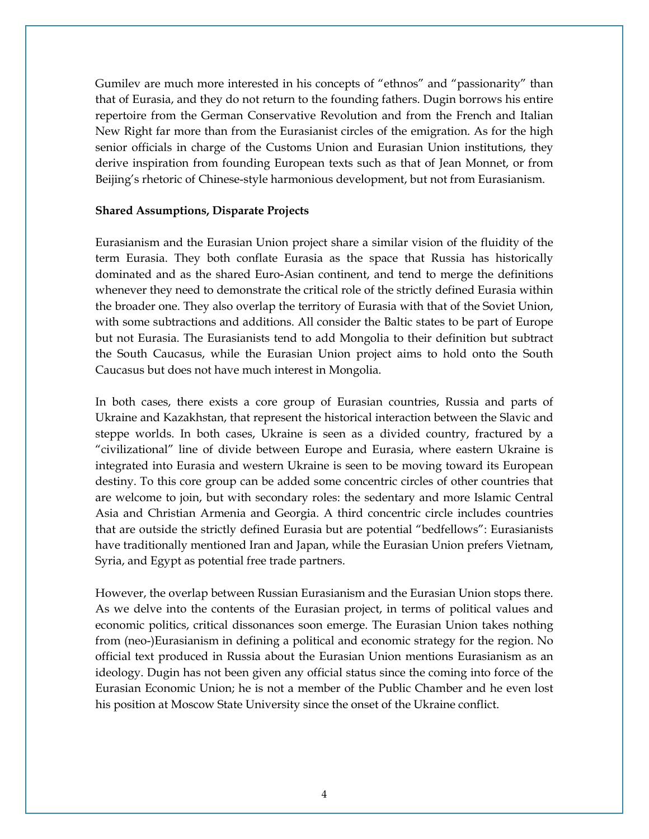Gumilev are much more interested in his concepts of "ethnos" and "passionarity" than that of Eurasia, and they do not return to the founding fathers. Dugin borrows his entire repertoire from the German Conservative Revolution and from the French and Italian New Right far more than from the Eurasianist circles of the emigration. As for the high senior officials in charge of the Customs Union and Eurasian Union institutions, they derive inspiration from founding European texts such as that of Jean Monnet, or from Beijing's rhetoric of Chinese-style harmonious development, but not from Eurasianism.

### **Shared Assumptions, Disparate Projects**

Eurasianism and the Eurasian Union project share a similar vision of the fluidity of the term Eurasia. They both conflate Eurasia as the space that Russia has historically dominated and as the shared Euro-Asian continent, and tend to merge the definitions whenever they need to demonstrate the critical role of the strictly defined Eurasia within the broader one. They also overlap the territory of Eurasia with that of the Soviet Union, with some subtractions and additions. All consider the Baltic states to be part of Europe but not Eurasia. The Eurasianists tend to add Mongolia to their definition but subtract the South Caucasus, while the Eurasian Union project aims to hold onto the South Caucasus but does not have much interest in Mongolia.

In both cases, there exists a core group of Eurasian countries, Russia and parts of Ukraine and Kazakhstan, that represent the historical interaction between the Slavic and steppe worlds. In both cases, Ukraine is seen as a divided country, fractured by a "civilizational" line of divide between Europe and Eurasia, where eastern Ukraine is integrated into Eurasia and western Ukraine is seen to be moving toward its European destiny. To this core group can be added some concentric circles of other countries that are welcome to join, but with secondary roles: the sedentary and more Islamic Central Asia and Christian Armenia and Georgia. A third concentric circle includes countries that are outside the strictly defined Eurasia but are potential "bedfellows": Eurasianists have traditionally mentioned Iran and Japan, while the Eurasian Union prefers Vietnam, Syria, and Egypt as potential free trade partners.

However, the overlap between Russian Eurasianism and the Eurasian Union stops there. As we delve into the contents of the Eurasian project, in terms of political values and economic politics, critical dissonances soon emerge. The Eurasian Union takes nothing from (neo-)Eurasianism in defining a political and economic strategy for the region. No official text produced in Russia about the Eurasian Union mentions Eurasianism as an ideology. Dugin has not been given any official status since the coming into force of the Eurasian Economic Union; he is not a member of the Public Chamber and he even lost his position at Moscow State University since the onset of the Ukraine conflict.